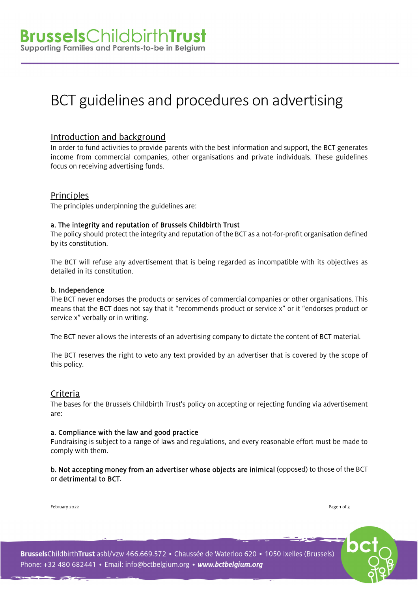## BCT guidelines and procedures on advertising

#### Introduction and background

In order to fund activities to provide parents with the best information and support, the BCT generates income from commercial companies, other organisations and private individuals. These guidelines focus on receiving advertising funds.

#### **Principles**

The principles underpinning the guidelines are:

#### a. The integrity and reputation of Brussels Childbirth Trust

The policy should protect the integrity and reputation of the BCT as a not-for-profit organisation defined by its constitution.

The BCT will refuse any advertisement that is being regarded as incompatible with its objectives as detailed in its constitution.

#### b. Independence

The BCT never endorses the products or services of commercial companies or other organisations. This means that the BCT does not say that it "recommends product or service x" or it "endorses product or service x" verbally or in writing.

The BCT never allows the interests of an advertising company to dictate the content of BCT material.

The BCT reserves the right to veto any text provided by an advertiser that is covered by the scope of this policy.

#### Criteria

The bases for the Brussels Childbirth Trust's policy on accepting or rejecting funding via advertisement are:

#### a. Compliance with the law and good practice

Fundraising is subject to a range of laws and regulations, and every reasonable effort must be made to comply with them.

b. Not accepting money from an advertiser whose objects are inimical (opposed) to those of the BCT or detrimental to BCT.

February 2022 Page 1 of 3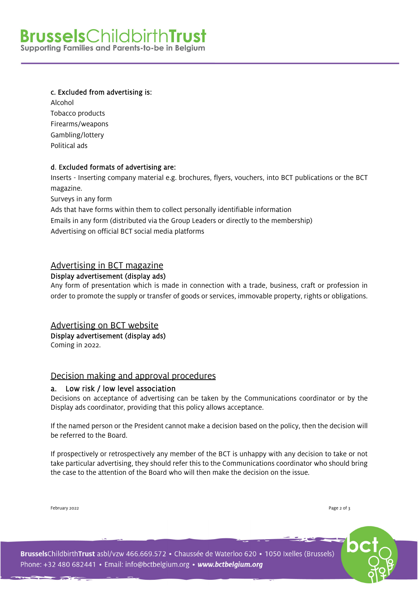# **Brussels**ChildbirthTrust

Supporting Families and Parents-to-be in Belgium

#### c. Excluded from advertising is:

Alcohol Tobacco products Firearms/weapons Gambling/lottery Political ads

#### d. Excluded formats of advertising are:

Inserts - Inserting company material e.g. brochures, flyers, vouchers, into BCT publications or the BCT magazine.

Surveys in any form

Ads that have forms within them to collect personally identifiable information Emails in any form (distributed via the Group Leaders or directly to the membership) Advertising on official BCT social media platforms

#### Advertising in BCT magazine

#### Display advertisement (display ads)

Any form of presentation which is made in connection with a trade, business, craft or profession in order to promote the supply or transfer of goods or services, immovable property, rights or obligations.

#### Advertising on BCT website

Display advertisement (display ads)

Coming in 2022.

#### Decision making and approval procedures

#### a. Low risk / low level association

Decisions on acceptance of advertising can be taken by the Communications coordinator or by the Display ads coordinator, providing that this policy allows acceptance.

If the named person or the President cannot make a decision based on the policy, then the decision will be referred to the Board.

If prospectively or retrospectively any member of the BCT is unhappy with any decision to take or not take particular advertising, they should refer this to the Communications coordinator who should bring the case to the attention of the Board who will then make the decision on the issue.

February 2022 Page 2 of 3